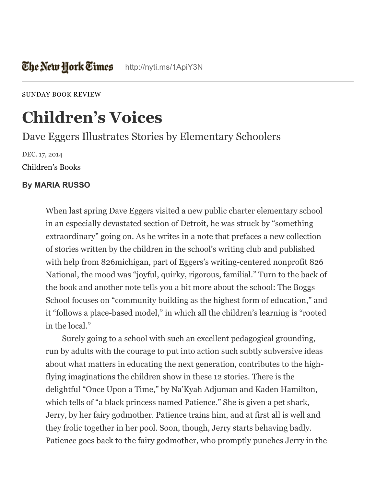## SUNDAY BOOK REVIEW

## **Children's Voices**

Dave Eggers Illustrates Stories by Elementary Schoolers

DEC. 17, 2014 Children's Books

## **By MARIA RUSSO**

When last spring Dave Eggers visited a new public charter elementary school in an especially devastated section of Detroit, he was struck by "something extraordinary" going on. As he writes in a note that prefaces a new collection of stories written by the children in the school's writing club and published with help from 826michigan, part of Eggers's writing-centered nonprofit 826 National, the mood was "joyful, quirky, rigorous, familial." Turn to the back of the book and another note tells you a bit more about the school: The Boggs School focuses on "community building as the highest form of education," and it "follows a place-based model," in which all the children's learning is "rooted in the local."

Surely going to a school with such an excellent pedagogical grounding, run by adults with the courage to put into action such subtly subversive ideas about what matters in educating the next generation, contributes to the highflying imaginations the children show in these 12 stories. There is the delightful "Once Upon a Time," by Na'Kyah Adjuman and Kaden Hamilton, which tells of "a black princess named Patience." She is given a pet shark, Jerry, by her fairy godmother. Patience trains him, and at first all is well and they frolic together in her pool. Soon, though, Jerry starts behaving badly. Patience goes back to the fairy godmother, who promptly punches Jerry in the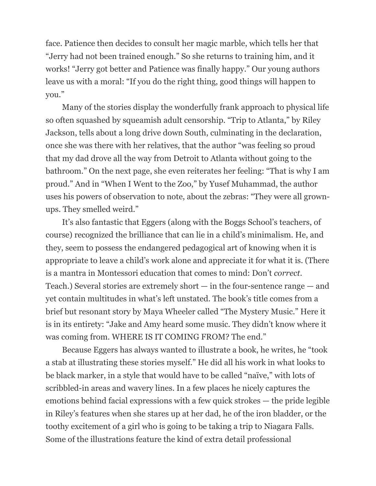face. Patience then decides to consult her magic marble, which tells her that "Jerry had not been trained enough." So she returns to training him, and it works! "Jerry got better and Patience was finally happy." Our young authors leave us with a moral: "If you do the right thing, good things will happen to you."

Many of the stories display the wonderfully frank approach to physical life so often squashed by squeamish adult censorship. "Trip to Atlanta," by Riley Jackson, tells about a long drive down South, culminating in the declaration, once she was there with her relatives, that the author "was feeling so proud that my dad drove all the way from Detroit to Atlanta without going to the bathroom." On the next page, she even reiterates her feeling: "That is why I am proud." And in "When I Went to the Zoo," by Yusef Muhammad, the author uses his powers of observation to note, about the zebras: "They were all grownups. They smelled weird."

It's also fantastic that Eggers (along with the Boggs School's teachers, of course) recognized the brilliance that can lie in a child's minimalism. He, and they, seem to possess the endangered pedagogical art of knowing when it is appropriate to leave a child's work alone and appreciate it for what it is. (There is a mantra in Montessori education that comes to mind: Don't *correct*. Teach.) Several stories are extremely short — in the four-sentence range — and yet contain multitudes in what's left unstated. The book's title comes from a brief but resonant story by Maya Wheeler called "The Mystery Music." Here it is in its entirety: "Jake and Amy heard some music. They didn't know where it was coming from. WHERE IS IT COMING FROM? The end."

Because Eggers has always wanted to illustrate a book, he writes, he "took a stab at illustrating these stories myself." He did all his work in what looks to be black marker, in a style that would have to be called "naïve," with lots of scribbled-in areas and wavery lines. In a few places he nicely captures the emotions behind facial expressions with a few quick strokes — the pride legible in Riley's features when she stares up at her dad, he of the iron bladder, or the toothy excitement of a girl who is going to be taking a trip to Niagara Falls. Some of the illustrations feature the kind of extra detail professional